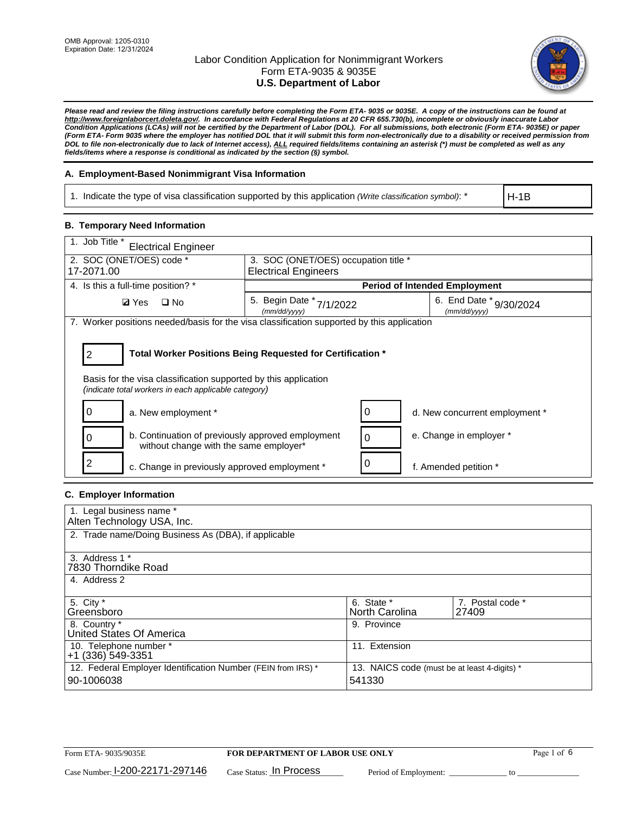

*Please read and review the filing instructions carefully before completing the Form ETA- 9035 or 9035E. A copy of the instructions can be found at [http://www.foreignlaborcert.doleta.gov/.](http://www.foreignlaborcert.doleta.gov/) In accordance with Federal Regulations at 20 CFR 655.730(b), incomplete or obviously inaccurate Labor Condition Applications (LCAs) will not be certified by the Department of Labor (DOL). For all submissions, both electronic (Form ETA- 9035E) or paper (Form ETA- Form 9035 where the employer has notified DOL that it will submit this form non-electronically due to a disability or received permission from DOL to file non-electronically due to lack of Internet access), ALL required fields/items containing an asterisk (\*) must be completed as well as any fields/items where a response is conditional as indicated by the section (§) symbol.* 

### **A. Employment-Based Nonimmigrant Visa Information**

1. Indicate the type of visa classification supported by this application *(Write classification symbol)*: \*

H-1B

#### **B. Temporary Need Information**

| 1. Job Title *<br><b>Electrical Engineer</b>                                                                                                                                               |                                             |                             |                                         |  |  |
|--------------------------------------------------------------------------------------------------------------------------------------------------------------------------------------------|---------------------------------------------|-----------------------------|-----------------------------------------|--|--|
| 2. SOC (ONET/OES) code *                                                                                                                                                                   | 3. SOC (ONET/OES) occupation title *        |                             |                                         |  |  |
| 17-2071.00                                                                                                                                                                                 |                                             | <b>Electrical Engineers</b> |                                         |  |  |
| 4. Is this a full-time position? *                                                                                                                                                         |                                             |                             | <b>Period of Intended Employment</b>    |  |  |
| $\square$ No<br><b>Ø</b> Yes                                                                                                                                                               | 5. Begin Date *<br>7/1/2022<br>(mm/dd/yyyy) |                             | 6. End Date * 9/30/2024<br>(mm/dd/yyyy) |  |  |
| 7. Worker positions needed/basis for the visa classification supported by this application                                                                                                 |                                             |                             |                                         |  |  |
| Total Worker Positions Being Requested for Certification *<br>2<br>Basis for the visa classification supported by this application<br>(indicate total workers in each applicable category) |                                             |                             |                                         |  |  |
| a. New employment *                                                                                                                                                                        |                                             |                             | d. New concurrent employment *          |  |  |
| b. Continuation of previously approved employment<br>without change with the same employer*                                                                                                |                                             |                             | e. Change in employer *                 |  |  |
| c. Change in previously approved employment *                                                                                                                                              |                                             |                             | f. Amended petition *                   |  |  |

### **C. Employer Information**

| 1. Legal business name *                                                   |                                                        |                           |
|----------------------------------------------------------------------------|--------------------------------------------------------|---------------------------|
| Alten Technology USA, Inc.                                                 |                                                        |                           |
| 2. Trade name/Doing Business As (DBA), if applicable                       |                                                        |                           |
| 3. Address 1 *<br>7830 Thorndike Road<br>4. Address 2                      |                                                        |                           |
| 5. City *<br>Greensboro                                                    | 6. State *<br>North Carolina                           | 7. Postal code *<br>27409 |
| 8. Country *<br>United States Of America                                   | 9. Province                                            |                           |
| 10. Telephone number *<br>+1 (336) 549-3351                                | 11. Extension                                          |                           |
| 12. Federal Employer Identification Number (FEIN from IRS) *<br>90-1006038 | 13. NAICS code (must be at least 4-digits) *<br>541330 |                           |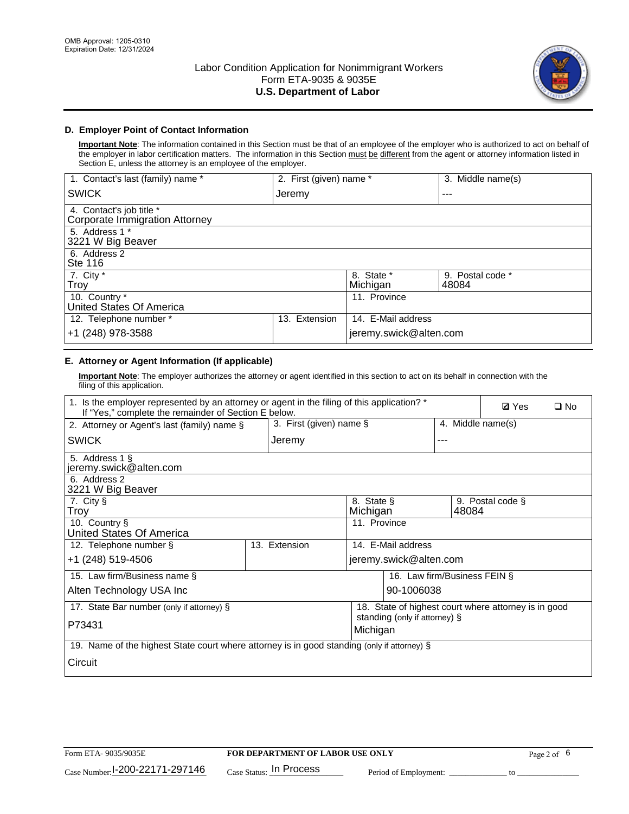

### **D. Employer Point of Contact Information**

**Important Note**: The information contained in this Section must be that of an employee of the employer who is authorized to act on behalf of the employer in labor certification matters. The information in this Section must be different from the agent or attorney information listed in Section E, unless the attorney is an employee of the employer.

| 1. Contact's last (family) name *                          | 2. First (given) name * |                        | 3. Middle name(s)         |
|------------------------------------------------------------|-------------------------|------------------------|---------------------------|
| <b>SWICK</b>                                               | Jeremy                  |                        | ---                       |
| 4. Contact's job title *<br>Corporate Immigration Attorney |                         |                        |                           |
| 5. Address 1 *<br>3221 W Big Beaver                        |                         |                        |                           |
| 6. Address 2<br><b>Ste 116</b>                             |                         |                        |                           |
| 7. City *<br>Troy                                          |                         | 8. State *<br>Michigan | 9. Postal code *<br>48084 |
| 10. Country *<br>United States Of America                  |                         | 11. Province           |                           |
| 12. Telephone number *                                     | Extension<br>13.        | 14. E-Mail address     |                           |
| +1 (248) 978-3588                                          |                         | jeremy.swick@alten.com |                           |

# **E. Attorney or Agent Information (If applicable)**

**Important Note**: The employer authorizes the attorney or agent identified in this section to act on its behalf in connection with the filing of this application.

| 1. Is the employer represented by an attorney or agent in the filing of this application? *<br>If "Yes," complete the remainder of Section E below. |  |                                     |                               |                              | <b>Ø</b> Yes | $\Box$ No         |                                                      |  |
|-----------------------------------------------------------------------------------------------------------------------------------------------------|--|-------------------------------------|-------------------------------|------------------------------|--------------|-------------------|------------------------------------------------------|--|
| 2. Attorney or Agent's last (family) name §                                                                                                         |  | 3. First (given) name $\S$          |                               |                              |              | 4. Middle name(s) |                                                      |  |
| <b>SWICK</b>                                                                                                                                        |  | Jeremy<br>---                       |                               |                              |              |                   |                                                      |  |
| 5. Address 1 §<br>jeremy.swick@alten.com                                                                                                            |  |                                     |                               |                              |              |                   |                                                      |  |
| 6. Address 2<br>3221 W Big Beaver                                                                                                                   |  |                                     |                               |                              |              |                   |                                                      |  |
| 7. City §<br>Troy                                                                                                                                   |  |                                     | 8. State §<br>Michigan        |                              |              | 48084             | 9. Postal code §                                     |  |
| 10. Country §<br>United States Of America                                                                                                           |  |                                     | 11. Province                  |                              |              |                   |                                                      |  |
| 12. Telephone number §                                                                                                                              |  | 13. Extension<br>14. E-Mail address |                               |                              |              |                   |                                                      |  |
| +1 (248) 519-4506                                                                                                                                   |  |                                     |                               | jeremy.swick@alten.com       |              |                   |                                                      |  |
| 15. Law firm/Business name §                                                                                                                        |  |                                     |                               | 16. Law firm/Business FEIN § |              |                   |                                                      |  |
| Alten Technology USA Inc                                                                                                                            |  |                                     |                               | 90-1006038                   |              |                   |                                                      |  |
| 17. State Bar number (only if attorney) §                                                                                                           |  |                                     |                               |                              |              |                   | 18. State of highest court where attorney is in good |  |
| P73431<br>Michigan                                                                                                                                  |  |                                     | standing (only if attorney) § |                              |              |                   |                                                      |  |
| 19. Name of the highest State court where attorney is in good standing (only if attorney) §                                                         |  |                                     |                               |                              |              |                   |                                                      |  |
| Circuit                                                                                                                                             |  |                                     |                               |                              |              |                   |                                                      |  |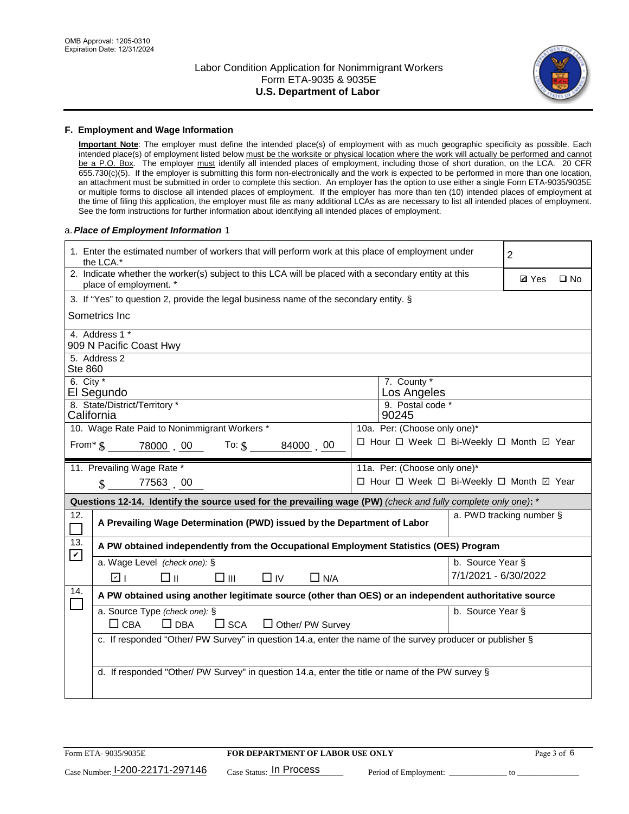

#### **F. Employment and Wage Information**

**Important Note**: The employer must define the intended place(s) of employment with as much geographic specificity as possible. Each intended place(s) of employment listed below must be the worksite or physical location where the work will actually be performed and cannot be a P.O. Box. The employer must identify all intended places of employment, including those of short duration, on the LCA. 20 CFR 655.730(c)(5). If the employer is submitting this form non-electronically and the work is expected to be performed in more than one location, an attachment must be submitted in order to complete this section. An employer has the option to use either a single Form ETA-9035/9035E or multiple forms to disclose all intended places of employment. If the employer has more than ten (10) intended places of employment at the time of filing this application, the employer must file as many additional LCAs as are necessary to list all intended places of employment. See the form instructions for further information about identifying all intended places of employment.

#### a.*Place of Employment Information* 1

| 1. Enter the estimated number of workers that will perform work at this place of employment under<br>the LCA.* | $\overline{2}$                                                                                                                 |  |                              |                      |                                          |  |
|----------------------------------------------------------------------------------------------------------------|--------------------------------------------------------------------------------------------------------------------------------|--|------------------------------|----------------------|------------------------------------------|--|
|                                                                                                                | 2. Indicate whether the worker(s) subject to this LCA will be placed with a secondary entity at this<br>place of employment. * |  |                              |                      |                                          |  |
|                                                                                                                | 3. If "Yes" to question 2, provide the legal business name of the secondary entity. §                                          |  |                              |                      |                                          |  |
|                                                                                                                | Sometrics Inc                                                                                                                  |  |                              |                      |                                          |  |
|                                                                                                                | 4. Address 1 *<br>909 N Pacific Coast Hwy                                                                                      |  |                              |                      |                                          |  |
| <b>Ste 860</b>                                                                                                 | 5. Address 2                                                                                                                   |  |                              |                      |                                          |  |
| 6. City $*$                                                                                                    | El Segundo                                                                                                                     |  | 7. County *<br>Los Angeles   |                      |                                          |  |
|                                                                                                                | 8. State/District/Territory *<br>California                                                                                    |  | 9. Postal code *<br>90245    |                      |                                          |  |
|                                                                                                                | 10. Wage Rate Paid to Nonimmigrant Workers *                                                                                   |  | 10a. Per: (Choose only one)* |                      |                                          |  |
|                                                                                                                | □ Hour □ Week □ Bi-Weekly □ Month ☑ Year<br>From $*$ $\frac{1}{3}$ 78000 00 To: $\frac{1}{3}$<br>84000 00                      |  |                              |                      |                                          |  |
|                                                                                                                | 11. Prevailing Wage Rate *                                                                                                     |  | 11a. Per: (Choose only one)* |                      |                                          |  |
|                                                                                                                | 77563 00<br>$\mathcal{S}$                                                                                                      |  |                              |                      | □ Hour □ Week □ Bi-Weekly □ Month 回 Year |  |
|                                                                                                                | Questions 12-14. Identify the source used for the prevailing wage (PW) (check and fully complete only one): *                  |  |                              |                      |                                          |  |
| 12.<br>$\overline{\phantom{0}}$                                                                                | A Prevailing Wage Determination (PWD) issued by the Department of Labor                                                        |  |                              |                      | a. PWD tracking number §                 |  |
| 13.                                                                                                            | A PW obtained independently from the Occupational Employment Statistics (OES) Program                                          |  |                              |                      |                                          |  |
| $\blacktriangledown$                                                                                           | a. Wage Level (check one): §                                                                                                   |  |                              | b. Source Year §     |                                          |  |
|                                                                                                                | ☑ ⊦<br>□⊪<br>$\square$ $\square$<br>$\Box$ IV<br>$\Box$ N/A                                                                    |  |                              | 7/1/2021 - 6/30/2022 |                                          |  |
| 14.<br>$\Box$                                                                                                  | A PW obtained using another legitimate source (other than OES) or an independent authoritative source                          |  |                              |                      |                                          |  |
|                                                                                                                | a. Source Type (check one): §<br>b. Source Year §<br>$\Box$ CBA<br>$\Box$ DBA<br>$\square$ SCA<br>$\Box$ Other/ PW Survey      |  |                              |                      |                                          |  |
|                                                                                                                | c. If responded "Other/ PW Survey" in question 14.a, enter the name of the survey producer or publisher §                      |  |                              |                      |                                          |  |
|                                                                                                                |                                                                                                                                |  |                              |                      |                                          |  |
|                                                                                                                | d. If responded "Other/ PW Survey" in question 14.a, enter the title or name of the PW survey §                                |  |                              |                      |                                          |  |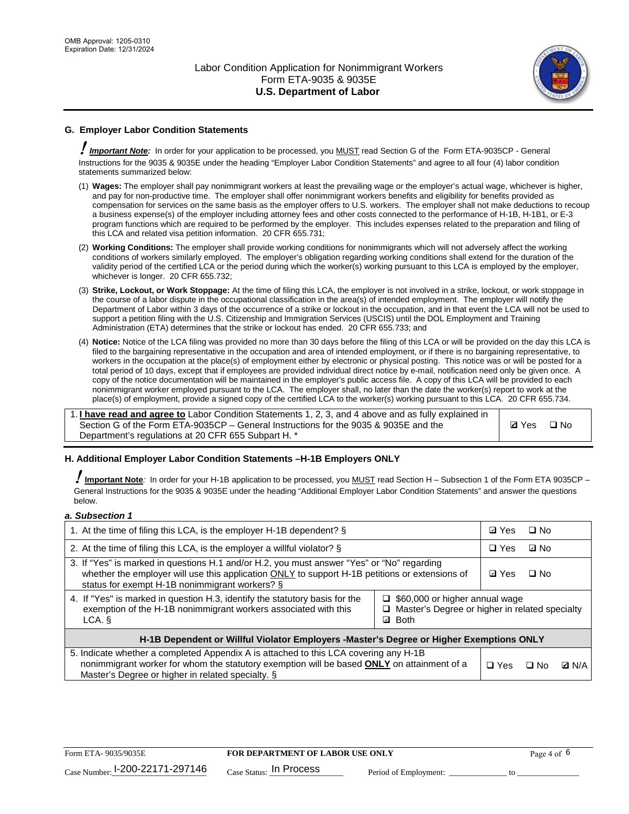

# **G. Employer Labor Condition Statements**

! *Important Note:* In order for your application to be processed, you MUST read Section G of the Form ETA-9035CP - General Instructions for the 9035 & 9035E under the heading "Employer Labor Condition Statements" and agree to all four (4) labor condition statements summarized below:

- (1) **Wages:** The employer shall pay nonimmigrant workers at least the prevailing wage or the employer's actual wage, whichever is higher, and pay for non-productive time. The employer shall offer nonimmigrant workers benefits and eligibility for benefits provided as compensation for services on the same basis as the employer offers to U.S. workers. The employer shall not make deductions to recoup a business expense(s) of the employer including attorney fees and other costs connected to the performance of H-1B, H-1B1, or E-3 program functions which are required to be performed by the employer. This includes expenses related to the preparation and filing of this LCA and related visa petition information. 20 CFR 655.731;
- (2) **Working Conditions:** The employer shall provide working conditions for nonimmigrants which will not adversely affect the working conditions of workers similarly employed. The employer's obligation regarding working conditions shall extend for the duration of the validity period of the certified LCA or the period during which the worker(s) working pursuant to this LCA is employed by the employer, whichever is longer. 20 CFR 655.732;
- (3) **Strike, Lockout, or Work Stoppage:** At the time of filing this LCA, the employer is not involved in a strike, lockout, or work stoppage in the course of a labor dispute in the occupational classification in the area(s) of intended employment. The employer will notify the Department of Labor within 3 days of the occurrence of a strike or lockout in the occupation, and in that event the LCA will not be used to support a petition filing with the U.S. Citizenship and Immigration Services (USCIS) until the DOL Employment and Training Administration (ETA) determines that the strike or lockout has ended. 20 CFR 655.733; and
- (4) **Notice:** Notice of the LCA filing was provided no more than 30 days before the filing of this LCA or will be provided on the day this LCA is filed to the bargaining representative in the occupation and area of intended employment, or if there is no bargaining representative, to workers in the occupation at the place(s) of employment either by electronic or physical posting. This notice was or will be posted for a total period of 10 days, except that if employees are provided individual direct notice by e-mail, notification need only be given once. A copy of the notice documentation will be maintained in the employer's public access file. A copy of this LCA will be provided to each nonimmigrant worker employed pursuant to the LCA. The employer shall, no later than the date the worker(s) report to work at the place(s) of employment, provide a signed copy of the certified LCA to the worker(s) working pursuant to this LCA. 20 CFR 655.734.

1. **I have read and agree to** Labor Condition Statements 1, 2, 3, and 4 above and as fully explained in Section G of the Form ETA-9035CP – General Instructions for the 9035 & 9035E and the Department's regulations at 20 CFR 655 Subpart H. \*

**Ø**Yes ロNo

### **H. Additional Employer Labor Condition Statements –H-1B Employers ONLY**

!**Important Note***:* In order for your H-1B application to be processed, you MUST read Section H – Subsection 1 of the Form ETA 9035CP – General Instructions for the 9035 & 9035E under the heading "Additional Employer Labor Condition Statements" and answer the questions below.

#### *a. Subsection 1*

| 1. At the time of filing this LCA, is the employer H-1B dependent? §                                                                                                                                                                                                      |  |  | $\square$ No |              |
|---------------------------------------------------------------------------------------------------------------------------------------------------------------------------------------------------------------------------------------------------------------------------|--|--|--------------|--------------|
| 2. At the time of filing this LCA, is the employer a willful violator? $\S$                                                                                                                                                                                               |  |  | ⊡ No         |              |
| 3. If "Yes" is marked in questions H.1 and/or H.2, you must answer "Yes" or "No" regarding<br>whether the employer will use this application ONLY to support H-1B petitions or extensions of<br>status for exempt H-1B nonimmigrant workers? §                            |  |  | $\Box$ No    |              |
| 4. If "Yes" is marked in question H.3, identify the statutory basis for the<br>$\Box$ \$60,000 or higher annual wage<br>exemption of the H-1B nonimmigrant workers associated with this<br>□ Master's Degree or higher in related specialty<br><b>Both</b><br>LCA. §<br>☑ |  |  |              |              |
| H-1B Dependent or Willful Violator Employers -Master's Degree or Higher Exemptions ONLY                                                                                                                                                                                   |  |  |              |              |
| 5. Indicate whether a completed Appendix A is attached to this LCA covering any H-1B<br>nonimmigrant worker for whom the statutory exemption will be based <b>ONLY</b> on attainment of a<br>Master's Degree or higher in related specialty. §                            |  |  | ⊟ No         | <b>Q</b> N/A |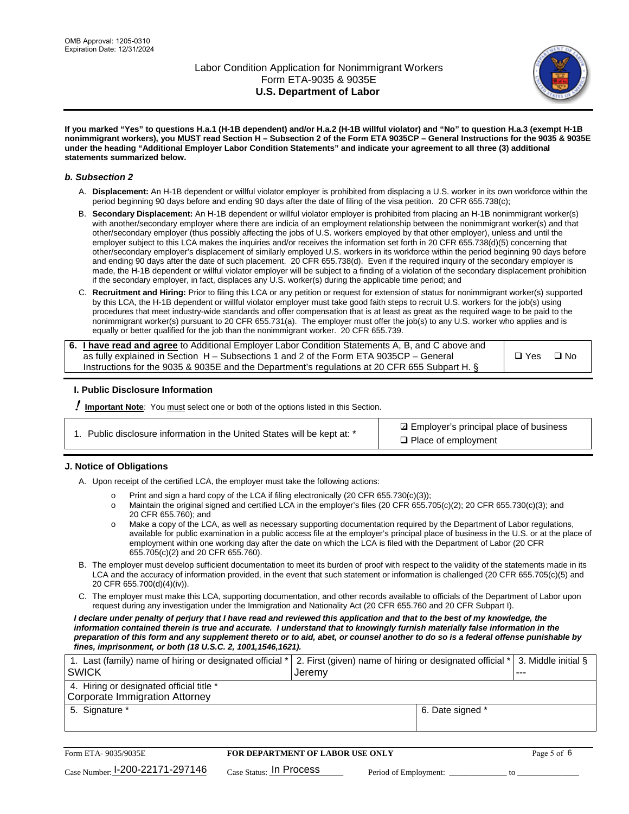

**If you marked "Yes" to questions H.a.1 (H-1B dependent) and/or H.a.2 (H-1B willful violator) and "No" to question H.a.3 (exempt H-1B nonimmigrant workers), you MUST read Section H – Subsection 2 of the Form ETA 9035CP – General Instructions for the 9035 & 9035E under the heading "Additional Employer Labor Condition Statements" and indicate your agreement to all three (3) additional statements summarized below.**

#### *b. Subsection 2*

- A. **Displacement:** An H-1B dependent or willful violator employer is prohibited from displacing a U.S. worker in its own workforce within the period beginning 90 days before and ending 90 days after the date of filing of the visa petition. 20 CFR 655.738(c);
- B. **Secondary Displacement:** An H-1B dependent or willful violator employer is prohibited from placing an H-1B nonimmigrant worker(s) with another/secondary employer where there are indicia of an employment relationship between the nonimmigrant worker(s) and that other/secondary employer (thus possibly affecting the jobs of U.S. workers employed by that other employer), unless and until the employer subject to this LCA makes the inquiries and/or receives the information set forth in 20 CFR 655.738(d)(5) concerning that other/secondary employer's displacement of similarly employed U.S. workers in its workforce within the period beginning 90 days before and ending 90 days after the date of such placement. 20 CFR 655.738(d). Even if the required inquiry of the secondary employer is made, the H-1B dependent or willful violator employer will be subject to a finding of a violation of the secondary displacement prohibition if the secondary employer, in fact, displaces any U.S. worker(s) during the applicable time period; and
- C. **Recruitment and Hiring:** Prior to filing this LCA or any petition or request for extension of status for nonimmigrant worker(s) supported by this LCA, the H-1B dependent or willful violator employer must take good faith steps to recruit U.S. workers for the job(s) using procedures that meet industry-wide standards and offer compensation that is at least as great as the required wage to be paid to the nonimmigrant worker(s) pursuant to 20 CFR 655.731(a). The employer must offer the job(s) to any U.S. worker who applies and is equally or better qualified for the job than the nonimmigrant worker. 20 CFR 655.739.

| 6. I have read and agree to Additional Employer Labor Condition Statements A, B, and C above and |       |           |
|--------------------------------------------------------------------------------------------------|-------|-----------|
| as fully explained in Section H – Subsections 1 and 2 of the Form ETA 9035CP – General           | □ Yes | $\Box$ No |
| Instructions for the 9035 & 9035E and the Department's regulations at 20 CFR 655 Subpart H. §    |       |           |

### **I. Public Disclosure Information**

! **Important Note***:* You must select one or both of the options listed in this Section.

**sqrt** Employer's principal place of business □ Place of employment

### **J. Notice of Obligations**

A. Upon receipt of the certified LCA, the employer must take the following actions:

- o Print and sign a hard copy of the LCA if filing electronically (20 CFR 655.730(c)(3));<br>
Maintain the original signed and certified LCA in the employer's files (20 CFR 655.7
- Maintain the original signed and certified LCA in the employer's files (20 CFR 655.705(c)(2); 20 CFR 655.730(c)(3); and 20 CFR 655.760); and
- o Make a copy of the LCA, as well as necessary supporting documentation required by the Department of Labor regulations, available for public examination in a public access file at the employer's principal place of business in the U.S. or at the place of employment within one working day after the date on which the LCA is filed with the Department of Labor (20 CFR 655.705(c)(2) and 20 CFR 655.760).
- B. The employer must develop sufficient documentation to meet its burden of proof with respect to the validity of the statements made in its LCA and the accuracy of information provided, in the event that such statement or information is challenged (20 CFR 655.705(c)(5) and 20 CFR 655.700(d)(4)(iv)).
- C. The employer must make this LCA, supporting documentation, and other records available to officials of the Department of Labor upon request during any investigation under the Immigration and Nationality Act (20 CFR 655.760 and 20 CFR Subpart I).

*I declare under penalty of perjury that I have read and reviewed this application and that to the best of my knowledge, the*  information contained therein is true and accurate. I understand that to knowingly furnish materially false information in the *preparation of this form and any supplement thereto or to aid, abet, or counsel another to do so is a federal offense punishable by fines, imprisonment, or both (18 U.S.C. 2, 1001,1546,1621).*

| 1. Last (family) name of hiring or designated official *   2. First (given) name of hiring or designated official *   3. Middle initial §<br>l SWICK | Jeremy .         | --- |
|------------------------------------------------------------------------------------------------------------------------------------------------------|------------------|-----|
| 4. Hiring or designated official title *<br>Corporate Immigration Attorney                                                                           |                  |     |
| 5. Signature *                                                                                                                                       | 6. Date signed * |     |